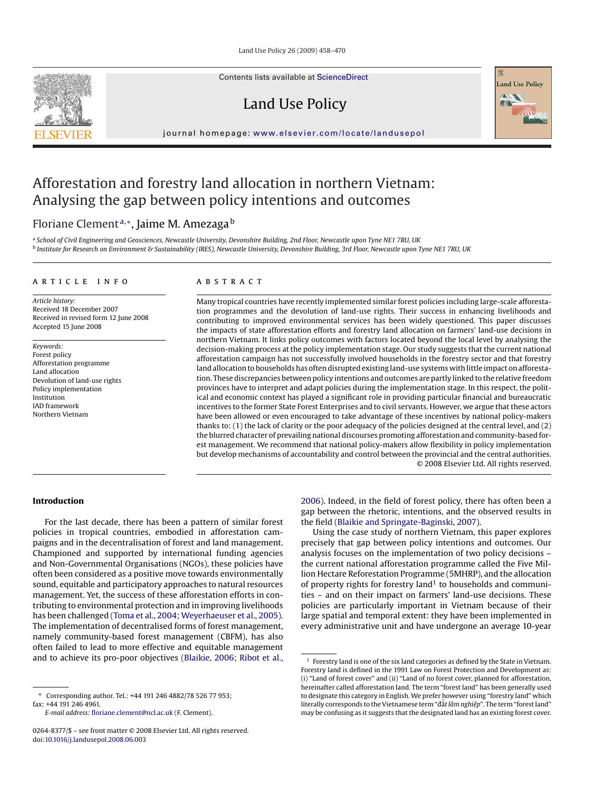Land Use Policy 26 (2009) 458–470

Contents lists available at [ScienceDirect](http://www.sciencedirect.com/science/journal/02648377)

Land Use Policy

journal homepage: [www.elsevier.com/locate/landusepol](http://www.elsevier.com/locate/landusepol)

# Afforestation and forestry land allocation in northern Vietnam: Analysing the gap between policy intentions and outcomes

Floriane Clement <sup>a</sup>,∗, Jaime M. Amezaga <sup>b</sup>

<sup>a</sup> *School of Civil Engineering and Geosciences, Newcastle University, Devonshire Building, 2nd Floor, Newcastle upon Tyne NE1 7RU, UK* <sup>b</sup> *Institute for Research on Environment & Sustainability (IRES), Newcastle University, Devonshire Building, 3rd Floor, Newcastle upon Tyne NE1 7RU, UK*

# article info

*Article history:* Received 18 December 2007 Received in revised form 12 June 2008 Accepted 15 June 2008

*Keywords:* Forest policy Afforestation programme Land allocation Devolution of land-use rights Policy implementation Institution IAD framework Northern Vietnam

# **ABSTRACT**

Many tropical countries have recently implemented similar forest policies including large-scale afforestation programmes and the devolution of land-use rights. Their success in enhancing livelihoods and contributing to improved environmental services has been widely questioned. This paper discusses the impacts of state afforestation efforts and forestry land allocation on farmers' land-use decisions in northern Vietnam. It links policy outcomes with factors located beyond the local level by analysing the decision-making process at the policy implementation stage. Our study suggests that the current national afforestation campaign has not successfully involved households in the forestry sector and that forestry land allocation to households has often disrupted existing land-use systems with little impact on afforestation. These discrepancies between policy intentions and outcomes are partly linked to the relative freedom provinces have to interpret and adapt policies during the implementation stage. In this respect, the political and economic context has played a significant role in providing particular financial and bureaucratic incentives to the former State Forest Enterprises and to civil servants. However, we argue that these actors have been allowed or even encouraged to take advantage of these incentives by national policy-makers thanks to: (1) the lack of clarity or the poor adequacy of the policies designed at the central level, and (2) the blurred character of prevailing national discourses promoting afforestation and community-based forest management. We recommend that national policy-makers allow flexibility in policy implementation but develop mechanisms of accountability and control between the provincial and the central authorities. © 2008 Elsevier Ltd. All rights reserved.

# **Introduction**

For the last decade, there has been a pattern of similar forest policies in tropical countries, embodied in afforestation campaigns and in the decentralisation of forest and land management. Championed and supported by international funding agencies and Non-Governmental Organisations (NGOs), these policies have often been considered as a positive move towards environmentally sound, equitable and participatory approaches to natural resources management. Yet, the success of these afforestation efforts in contributing to environmental protection and in improving livelihoods has been challenged ([Toma et al., 2004; Weyerhaeuser et al., 2005\).](#page-12-0) The implementation of decentralised forms of forest management, namely community-based forest management (CBFM), has also often failed to lead to more effective and equitable management and to achieve its pro-poor objectives ([Blaikie, 2006; Ribot et al.,](#page-11-0)

*E-mail address:* [floriane.clement@ncl.ac.uk](mailto:floriane.clement@ncl.ac.uk) (F. Clement).

[2006\).](#page-11-0) Indeed, in the field of forest policy, there has often been a gap between the rhetoric, intentions, and the observed results in the field ([Blaikie and Springate-Baginski, 2007\).](#page-11-0)

Using the case study of northern Vietnam, this paper explores precisely that gap between policy intentions and outcomes. Our analysis focuses on the implementation of two policy decisions – the current national afforestation programme called the Five Million Hectare Reforestation Programme (5MHRP), and the allocation of property rights for forestry land<sup>1</sup> to households and communities – and on their impact on farmers' land-use decisions. These policies are particularly important in Vietnam because of their large spatial and temporal extent: they have been implemented in every administrative unit and have undergone an average 10-year





<sup>∗</sup> Corresponding author. Tel.: +44 191 246 4882/78 526 77 953; fax: +44 191 246 4961.

<sup>0264-8377/\$ –</sup> see front matter © 2008 Elsevier Ltd. All rights reserved. doi:[10.1016/j.landusepol.2008.06.003](dx.doi.org/10.1016/j.landusepol.2008.06.003)

 $^{\rm 1}$  Forestry land is one of the six land categories as defined by the State in Vietnam. Forestry land is defined in the 1991 Law on Forest Protection and Development as: (i) "Land of forest cover" and (ii) "Land of no forest cover, planned for afforestation, hereinafter called afforestation land. The term "forest land" has been generally used to designate this category in English. We prefer however using "forestry land" which literally corresponds to the Vietnamese term "đấ*t lâm nghiệp*". The term "forest land" may be confusing as it suggests that the designated land has an existing forest cover.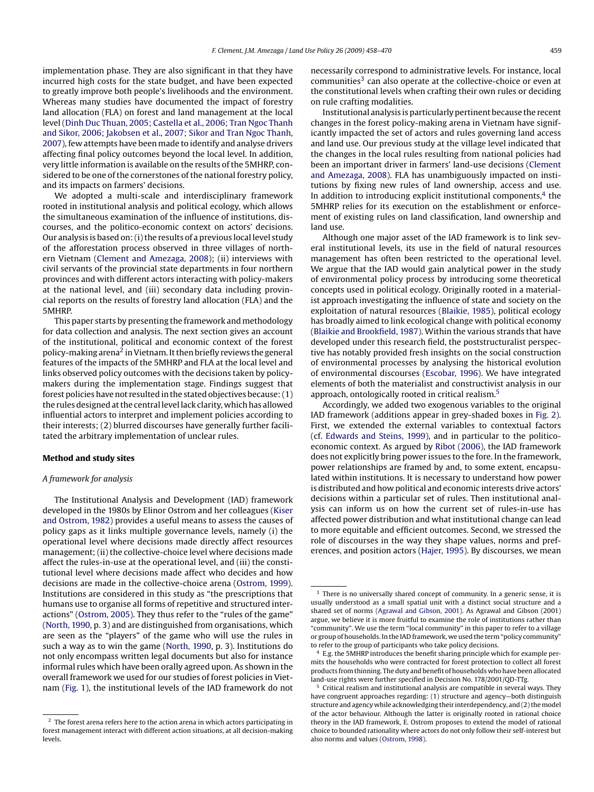implementation phase. They are also significant in that they have incurred high costs for the state budget, and have been expected to greatly improve both people's livelihoods and the environment. Whereas many studies have documented the impact of forestry land allocation (FLA) on forest and land management at the local level [\(Dinh Duc Thuan, 2005; Castella et al., 2006; Tran Ngoc Thanh](#page-11-0) [and Sikor, 2006; Jakobsen et al., 2007; Sikor and Tran Ngoc Thanh,](#page-11-0) [2007\),](#page-11-0) few attempts have been made to identify and analyse drivers affecting final policy outcomes beyond the local level. In addition, very little information is available on the results of the 5MHRP, considered to be one of the cornerstones of the national forestry policy, and its impacts on farmers' decisions.

We adopted a multi-scale and interdisciplinary framework rooted in institutional analysis and political ecology, which allows the simultaneous examination of the influence of institutions, discourses, and the politico-economic context on actors' decisions. Our analysis is based on: (i) the results of a previous local level study of the afforestation process observed in three villages of northern Vietnam [\(Clement and Amezaga, 2008\);](#page-11-0) (ii) interviews with civil servants of the provincial state departments in four northern provinces and with different actors interacting with policy-makers at the national level, and (iii) secondary data including provincial reports on the results of forestry land allocation (FLA) and the 5MHRP.

This paper starts by presenting the framework and methodology for data collection and analysis. The next section gives an account of the institutional, political and economic context of the forest policy-making arena<sup>2</sup> in Vietnam. It then briefly reviews the general features of the impacts of the 5MHRP and FLA at the local level and links observed policy outcomes with the decisions taken by policymakers during the implementation stage. Findings suggest that forest policies have not resulted in the stated objectives because: (1) the rules designed at the central level lack clarity, which has allowed influential actors to interpret and implement policies according to their interests; (2) blurred discourses have generally further facilitated the arbitrary implementation of unclear rules.

#### **Method and study sites**

#### *A framework for analysis*

The Institutional Analysis and Development (IAD) framework developed in the 1980s by Elinor Ostrom and her colleagues [\(Kiser](#page-11-0) [and Ostrom, 1982\)](#page-11-0) provides a useful means to assess the causes of policy gaps as it links multiple governance levels, namely (i) the operational level where decisions made directly affect resources management; (ii) the collective-choice level where decisions made affect the rules-in-use at the operational level, and (iii) the constitutional level where decisions made affect who decides and how decisions are made in the collective-choice arena [\(Ostrom, 1999\).](#page-12-0) Institutions are considered in this study as "the prescriptions that humans use to organise all forms of repetitive and structured interactions" ([Ostrom, 2005\).](#page-12-0) They thus refer to the "rules of the game" ([North, 1990, p](#page-11-0). 3) and are distinguished from organisations, which are seen as the "players" of the game who will use the rules in such a way as to win the game ([North, 1990, p](#page-11-0). 3). Institutions do not only encompass written legal documents but also for instance informal rules which have been orally agreed upon. As shown in the overall framework we used for our studies of forest policies in Vietnam [\(Fig. 1\),](#page-2-0) the institutional levels of the IAD framework do not

necessarily correspond to administrative levels. For instance, local communities<sup>3</sup> can also operate at the collective-choice or even at the constitutional levels when crafting their own rules or deciding on rule crafting modalities.

Institutional analysis is particularly pertinent because the recent changes in the forest policy-making arena in Vietnam have significantly impacted the set of actors and rules governing land access and land use. Our previous study at the village level indicated that the changes in the local rules resulting from national policies had been an important driver in farmers' land-use decisions ([Clement](#page-11-0) [and Amezaga, 2008\).](#page-11-0) FLA has unambiguously impacted on institutions by fixing new rules of land ownership, access and use. In addition to introducing explicit institutional components, $4$  the 5MHRP relies for its execution on the establishment or enforcement of existing rules on land classification, land ownership and land use.

Although one major asset of the IAD framework is to link several institutional levels, its use in the field of natural resources management has often been restricted to the operational level. We argue that the IAD would gain analytical power in the study of environmental policy process by introducing some theoretical concepts used in political ecology. Originally rooted in a materialist approach investigating the influence of state and society on the exploitation of natural resources [\(Blaikie, 1985\),](#page-11-0) political ecology has broadly aimed to link ecological change with political economy ([Blaikie and Brookfield, 1987\).](#page-11-0) Within the various strands that have developed under this research field, the poststructuralist perspective has notably provided fresh insights on the social construction of environmental processes by analysing the historical evolution of environmental discourses ([Escobar, 1996\).](#page-11-0) We have integrated elements of both the materialist and constructivist analysis in our approach, ontologically rooted in critical realism.<sup>5</sup>

Accordingly, we added two exogenous variables to the original IAD framework (additions appear in grey-shaded boxes in [Fig. 2\).](#page-2-0) First, we extended the external variables to contextual factors (cf. [Edwards and Steins, 1999\),](#page-11-0) and in particular to the politicoeconomic context. As argued by [Ribot \(2006\), t](#page-12-0)he IAD framework does not explicitly bring power issues to the fore. In the framework, power relationships are framed by and, to some extent, encapsulated within institutions. It is necessary to understand how power is distributed and how political and economic interests drive actors' decisions within a particular set of rules. Then institutional analysis can inform us on how the current set of rules-in-use has affected power distribution and what institutional change can lead to more equitable and efficient outcomes. Second, we stressed the role of discourses in the way they shape values, norms and preferences, and position actors ([Hajer, 1995\).](#page-11-0) By discourses, we mean

 $2$  The forest arena refers here to the action arena in which actors participating in forest management interact with different action situations, at all decision-making levels.

 $3$  There is no universally shared concept of community. In a generic sense, it is usually understood as a small spatial unit with a distinct social structure and a shared set of norms [\(Agrawal and Gibson, 2001\).](#page-11-0) As Agrawal and Gibson (2001) argue, we believe it is more fruitful to examine the role of institutions rather than "community". We use the term "local community" in this paper to refer to a village or group of households. In the IAD framework, we used the term "policy community" to refer to the group of participants who take policy decisions.

<sup>4</sup> E.g. the 5MHRP introduces the benefit sharing principle which for example permits the households who were contracted for forest protection to collect all forest products from thinning. The duty and benefit of households who have been allocated land-use rights were further specified in Decision No. 178/2001/QD-TTg.

<sup>5</sup> Critical realism and institutional analysis are compatible in several ways. They have congruent approaches regarding: (1) structure and agency—both distinguish structure and agency while acknowledging their interdependency, and (2) themodel of the actor behaviour. Although the latter is originally rooted in rational choice theory in the IAD framework, E. Ostrom proposes to extend the model of rational choice to bounded rationality where actors do not only follow their self-interest but also norms and values [\(Ostrom, 1998\).](#page-12-0)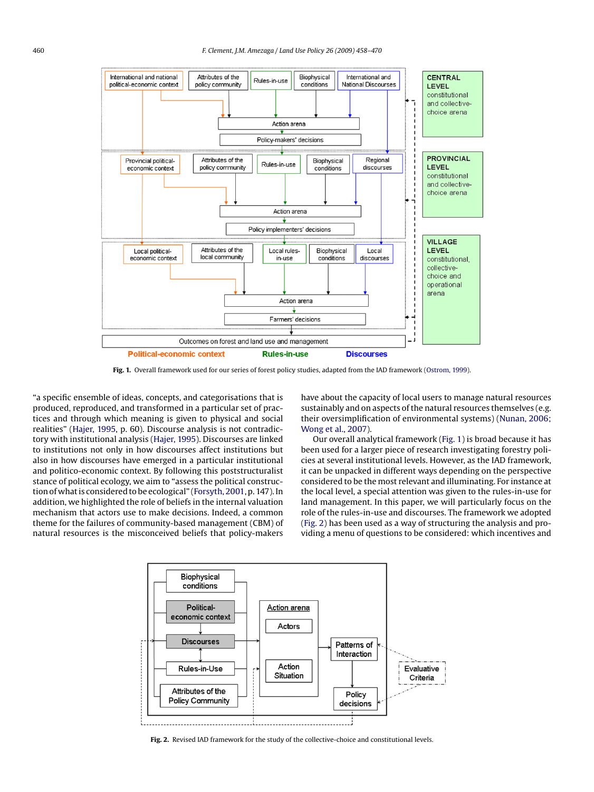<span id="page-2-0"></span>

**Fig. 1.** Overall framework used for our series of forest policy studies, adapted from the IAD framework ([Ostrom, 1999\).](#page-12-0)

"a specific ensemble of ideas, concepts, and categorisations that is produced, reproduced, and transformed in a particular set of practices and through which meaning is given to physical and social realities" ([Hajer, 1995, p](#page-11-0). 60). Discourse analysis is not contradictory with institutional analysis [\(Hajer, 1995\).](#page-11-0) Discourses are linked to institutions not only in how discourses affect institutions but also in how discourses have emerged in a particular institutional and politico-economic context. By following this poststructuralist stance of political ecology, we aim to "assess the political construction of what is considered to be ecological" [\(Forsyth, 2001, p](#page-11-0). 147). In addition, we highlighted the role of beliefs in the internal valuation mechanism that actors use to make decisions. Indeed, a common theme for the failures of community-based management (CBM) of natural resources is the misconceived beliefs that policy-makers have about the capacity of local users to manage natural resources sustainably and on aspects of the natural resources themselves (e.g. their oversimplification of environmental systems) [\(Nunan, 2006;](#page-11-0) [Wong et al., 2007\).](#page-11-0)

Our overall analytical framework (Fig. 1) is broad because it has been used for a larger piece of research investigating forestry policies at several institutional levels. However, as the IAD framework, it can be unpacked in different ways depending on the perspective considered to be the most relevant and illuminating. For instance at the local level, a special attention was given to the rules-in-use for land management. In this paper, we will particularly focus on the role of the rules-in-use and discourses. The framework we adopted (Fig. 2) has been used as a way of structuring the analysis and providing a menu of questions to be considered: which incentives and



Fig. 2. Revised IAD framework for the study of the collective-choice and constitutional levels.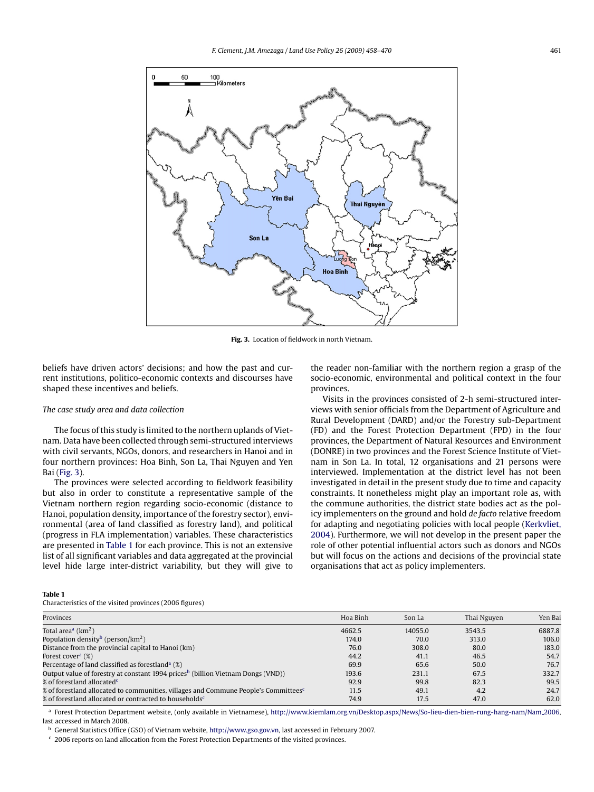<span id="page-3-0"></span>

**Fig. 3.** Location of fieldwork in north Vietnam.

beliefs have driven actors' decisions; and how the past and current institutions, politico-economic contexts and discourses have shaped these incentives and beliefs.

# *The case study area and data collection*

The focus of this study is limited to the northern uplands of Vietnam. Data have been collected through semi-structured interviews with civil servants, NGOs, donors, and researchers in Hanoi and in four northern provinces: Hoa Binh, Son La, Thai Nguyen and Yen Bai (Fig. 3).

The provinces were selected according to fieldwork feasibility but also in order to constitute a representative sample of the Vietnam northern region regarding socio-economic (distance to Hanoi, population density, importance of the forestry sector), environmental (area of land classified as forestry land), and political (progress in FLA implementation) variables. These characteristics are presented in Table 1 for each province. This is not an extensive list of all significant variables and data aggregated at the provincial level hide large inter-district variability, but they will give to

#### **Table 1**

Characteristics of the visited provinces (2006 figures)

the reader non-familiar with the northern region a grasp of the socio-economic, environmental and political context in the four provinces.

Visits in the provinces consisted of 2-h semi-structured interviews with senior officials from the Department of Agriculture and Rural Development (DARD) and/or the Forestry sub-Department (FD) and the Forest Protection Department (FPD) in the four provinces, the Department of Natural Resources and Environment (DONRE) in two provinces and the Forest Science Institute of Vietnam in Son La. In total, 12 organisations and 21 persons were interviewed. Implementation at the district level has not been investigated in detail in the present study due to time and capacity constraints. It nonetheless might play an important role as, with the commune authorities, the district state bodies act as the policy implementers on the ground and hold *de facto* relative freedom for adapting and negotiating policies with local people ([Kerkvliet,](#page-11-0) [2004\).](#page-11-0) Furthermore, we will not develop in the present paper the role of other potential influential actors such as donors and NGOs but will focus on the actions and decisions of the provincial state organisations that act as policy implementers.

| Provinces                                                                                       | Hoa Binh | Son La  | Thai Nguyen | Yen Bai |
|-------------------------------------------------------------------------------------------------|----------|---------|-------------|---------|
| Total area <sup>a</sup> (km <sup>2</sup> )                                                      | 4662.5   | 14055.0 | 3543.5      | 6887.8  |
| Population density <sup>b</sup> (person/km <sup>2</sup> )                                       | 174.0    | 70.0    | 313.0       | 106.0   |
| Distance from the provincial capital to Hanoi (km)                                              | 76.0     | 308.0   | 80.0        | 183.0   |
| Forest cover <sup>a</sup> (%)                                                                   | 44.2     | 41.1    | 46.5        | 54.7    |
| Percentage of land classified as forestland <sup>a</sup> $(\%)$                                 | 69.9     | 65.6    | 50.0        | 76.7    |
| Output value of forestry at constant 1994 prices <sup>b</sup> (billion Vietnam Dongs (VND))     | 193.6    | 231.1   | 67.5        | 332.7   |
| % of forestland allocated <sup>c</sup>                                                          | 92.9     | 99.8    | 82.3        | 99.5    |
| % of forestland allocated to communities, villages and Commune People's Committees <sup>c</sup> | 11.5     | 49.1    | 4.2         | 24.7    |
| % of forestland allocated or contracted to households <sup>c</sup>                              | 74.9     | 17.5    | 47.0        | 62.0    |

<sup>a</sup> Forest Protection Department website, (only available in Vietnamese), [http://www.kiemlam.org.vn/Desktop.aspx/News/So-lieu-dien-bien-rung-hang-nam/Nam](http://www.kiemlam.org.vn/Desktop.aspx/News/So-lieu-dien-bien-rung-hang-nam/Nam_2006) 2006, last accessed in March 2008.

<sup>b</sup> General Statistics Office (GSO) of Vietnam website, [http://www.gso.gov.vn,](http://www.gso.gov.vn/) last accessed in February 2007.

 $c$  2006 reports on land allocation from the Forest Protection Departments of the visited provinces.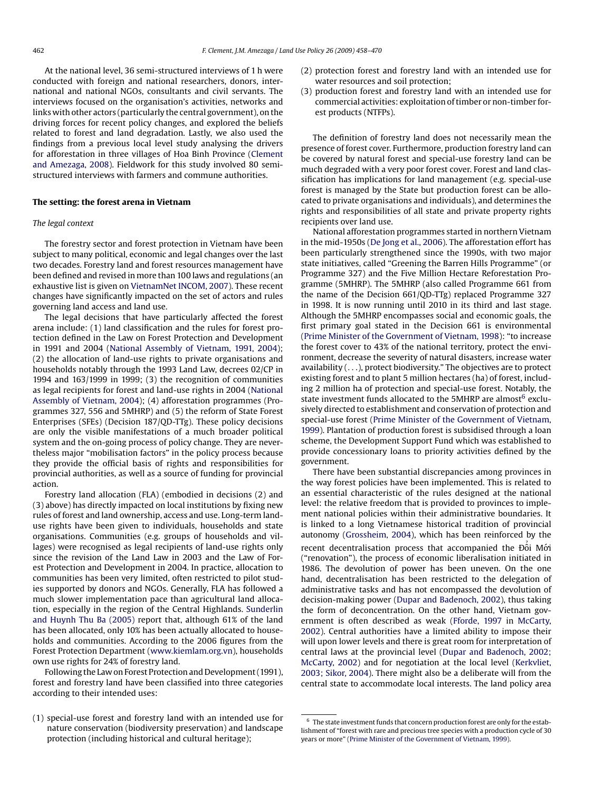At the national level, 36 semi-structured interviews of 1 h were conducted with foreign and national researchers, donors, international and national NGOs, consultants and civil servants. The interviews focused on the organisation's activities, networks and links with other actors (particularly the central government), on the driving forces for recent policy changes, and explored the beliefs related to forest and land degradation. Lastly, we also used the findings from a previous local level study analysing the drivers for afforestation in three villages of Hoa Binh Province [\(Clement](#page-11-0) [and Amezaga, 2008\).](#page-11-0) Fieldwork for this study involved 80 semistructured interviews with farmers and commune authorities.

## **The setting: the forest arena in Vietnam**

## *The legal context*

The forestry sector and forest protection in Vietnam have been subject to many political, economic and legal changes over the last two decades. Forestry land and forest resources management have been defined and revised in more than 100 laws and regulations (an exhaustive list is given on [VietnamNet INCOM, 2007\).](#page-12-0) These recent changes have significantly impacted on the set of actors and rules governing land access and land use.

The legal decisions that have particularly affected the forest arena include: (1) land classification and the rules for forest protection defined in the Law on Forest Protection and Development in 1991 and 2004 [\(National Assembly of Vietnam, 1991, 2004\);](#page-11-0) (2) the allocation of land-use rights to private organisations and households notably through the 1993 Land Law, decrees 02/CP in 1994 and 163/1999 in 1999; (3) the recognition of communities as legal recipients for forest and land-use rights in 2004 ([National](#page-11-0) [Assembly of Vietnam, 2004\);](#page-11-0) (4) afforestation programmes (Programmes 327, 556 and 5MHRP) and (5) the reform of State Forest Enterprises (SFEs) (Decision 187/QD-TTg). These policy decisions are only the visible manifestations of a much broader political system and the on-going process of policy change. They are nevertheless major "mobilisation factors" in the policy process because they provide the official basis of rights and responsibilities for provincial authorities, as well as a source of funding for provincial action.

Forestry land allocation (FLA) (embodied in decisions (2) and (3) above) has directly impacted on local institutions by fixing new rules of forest and land ownership, access and use. Long-term landuse rights have been given to individuals, households and state organisations. Communities (e.g. groups of households and villages) were recognised as legal recipients of land-use rights only since the revision of the Land Law in 2003 and the Law of Forest Protection and Development in 2004. In practice, allocation to communities has been very limited, often restricted to pilot studies supported by donors and NGOs. Generally, FLA has followed a much slower implementation pace than agricultural land allocation, especially in the region of the Central Highlands. [Sunderlin](#page-12-0) [and Huynh Thu Ba \(2005\)](#page-12-0) report that, although 61% of the land has been allocated, only 10% has been actually allocated to households and communities. According to the 2006 figures from the Forest Protection Department ([www.kiemlam.org.vn](http://www.kiemlam.org.vn/)), households own use rights for 24% of forestry land.

Following the Law on Forest Protection and Development (1991), forest and forestry land have been classified into three categories according to their intended uses:

(1) special-use forest and forestry land with an intended use for nature conservation (biodiversity preservation) and landscape protection (including historical and cultural heritage);

- (2) protection forest and forestry land with an intended use for water resources and soil protection;
- (3) production forest and forestry land with an intended use for commercial activities: exploitation of timber or non-timber forest products (NTFPs).

The definition of forestry land does not necessarily mean the presence of forest cover. Furthermore, production forestry land can be covered by natural forest and special-use forestry land can be much degraded with a very poor forest cover. Forest and land classification has implications for land management (e.g. special-use forest is managed by the State but production forest can be allocated to private organisations and individuals), and determines the rights and responsibilities of all state and private property rights recipients over land use.

National afforestation programmes started in northern Vietnam in the mid-1950s [\(De Jong et al., 2006\).](#page-11-0) The afforestation effort has been particularly strengthened since the 1990s, with two major state initiatives, called "Greening the Barren Hills Programme" (or Programme 327) and the Five Million Hectare Reforestation Programme (5MHRP). The 5MHRP (also called Programme 661 from the name of the Decision 661/QD-TTg) replaced Programme 327 in 1998. It is now running until 2010 in its third and last stage. Although the 5MHRP encompasses social and economic goals, the first primary goal stated in the Decision 661 is environmental ([Prime Minister of the Government of Vietnam, 1998\):](#page-12-0) "to increase the forest cover to 43% of the national territory, protect the environment, decrease the severity of natural disasters, increase water availability (...), protect biodiversity." The objectives are to protect existing forest and to plant 5 million hectares (ha) of forest, including 2 million ha of protection and special-use forest. Notably, the state investment funds allocated to the 5MHRP are almost $6$  exclusively directed to establishment and conservation of protection and special-use forest [\(Prime Minister of the Government of Vietnam,](#page-12-0) [1999\).](#page-12-0) Plantation of production forest is subsidised through a loan scheme, the Development Support Fund which was established to provide concessionary loans to priority activities defined by the government.

There have been substantial discrepancies among provinces in the way forest policies have been implemented. This is related to an essential characteristic of the rules designed at the national level: the relative freedom that is provided to provinces to implement national policies within their administrative boundaries. It is linked to a long Vietnamese historical tradition of provincial autonomy ([Grossheim, 2004\),](#page-11-0) which has been reinforced by the recent decentralisation process that accompanied the Đối Mới ("renovation"), the process of economic liberalisation initiated in 1986. The devolution of power has been uneven. On the one hand, decentralisation has been restricted to the delegation of administrative tasks and has not encompassed the devolution of decision-making power ([Dupar and Badenoch, 2002\),](#page-11-0) thus taking the form of deconcentration. On the other hand, Vietnam government is often described as weak ([Fforde, 1997](#page-11-0) in [McCarty,](#page-11-0) [2002\).](#page-11-0) Central authorities have a limited ability to impose their will upon lower levels and there is great room for interpretation of central laws at the provincial level ([Dupar and Badenoch, 2002;](#page-11-0) [McCarty, 2002\)](#page-11-0) and for negotiation at the local level ([Kerkvliet,](#page-11-0) [2003; Sikor, 2004\).](#page-11-0) There might also be a deliberate will from the central state to accommodate local interests. The land policy area

 $^{\rm 6}$  The state investment funds that concern production forest are only for the establishment of "forest with rare and precious tree species with a production cycle of 30 years or more" ([Prime Minister of the Government of Vietnam, 1999\).](#page-12-0)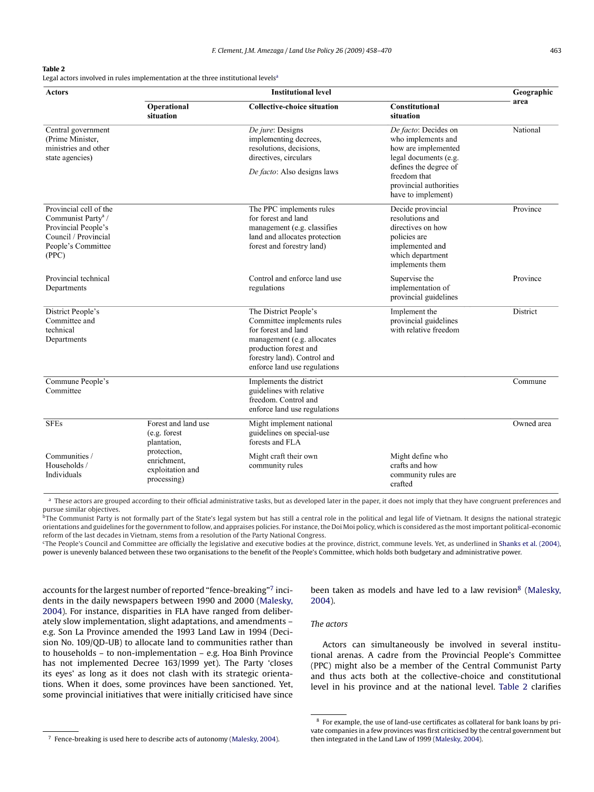# **Table 2**

Legal actors involved in rules implementation at the three institutional levels<sup>a</sup>

| Actors                                                                                                                                 | <b>Institutional level</b>                                        |                                                                                                                                                                                                  |                                                                                                                                                                                     | Geographic |
|----------------------------------------------------------------------------------------------------------------------------------------|-------------------------------------------------------------------|--------------------------------------------------------------------------------------------------------------------------------------------------------------------------------------------------|-------------------------------------------------------------------------------------------------------------------------------------------------------------------------------------|------------|
|                                                                                                                                        | Operational<br>situation                                          | <b>Collective-choice situation</b>                                                                                                                                                               | Constitutional<br>situation                                                                                                                                                         | area       |
| Central government<br>(Prime Minister,<br>ministries and other<br>state agencies)                                                      |                                                                   | De jure: Designs<br>implementing decrees,<br>resolutions, decisions,<br>directives, circulars<br>De facto: Also designs laws                                                                     | De facto: Decides on<br>who implements and<br>how are implemented<br>legal documents (e.g.<br>defines the degree of<br>freedom that<br>provincial authorities<br>have to implement) | National   |
| Provincial cell of the<br>Communist Party <sup>a</sup> /<br>Provincial People's<br>Council / Provincial<br>People's Committee<br>(PPC) |                                                                   | The PPC implements rules<br>for forest and land<br>management (e.g. classifies<br>land and allocates protection<br>forest and forestry land)                                                     | Decide provincial<br>resolutions and<br>directives on how<br>policies are<br>implemented and<br>which department<br>implements them                                                 | Province   |
| Provincial technical<br>Departments                                                                                                    |                                                                   | Control and enforce land use<br>regulations                                                                                                                                                      | Supervise the<br>implementation of<br>provincial guidelines                                                                                                                         | Province   |
| District People's<br>Committee and<br>technical<br>Departments                                                                         |                                                                   | The District People's<br>Committee implements rules<br>for forest and land<br>management (e.g. allocates<br>production forest and<br>forestry land). Control and<br>enforce land use regulations | Implement the<br>provincial guidelines<br>with relative freedom                                                                                                                     | District   |
| Commune People's<br>Committee                                                                                                          |                                                                   | Implements the district<br>guidelines with relative<br>freedom. Control and<br>enforce land use regulations                                                                                      |                                                                                                                                                                                     | Commune    |
| <b>SFEs</b><br>Communities /                                                                                                           | Forest and land use<br>(e.g. forest<br>plantation,<br>protection, | Might implement national<br>guidelines on special-use<br>forests and FLA<br>Might craft their own                                                                                                | Might define who                                                                                                                                                                    | Owned area |
| Households /<br>Individuals                                                                                                            | enrichment,<br>exploitation and<br>processing)                    | community rules                                                                                                                                                                                  | crafts and how<br>community rules are<br>crafted                                                                                                                                    |            |

a These actors are grouped according to their official administrative tasks, but as developed later in the paper, it does not imply that they have congruent preferences and pursue similar objectives.

<sup>b</sup>The Communist Party is not formally part of the State's legal system but has still a central role in the political and legal life of Vietnam. It designs the national strategic orientations and guidelines for the government to follow, and appraises policies. For instance, the Doi Moi policy, which is considered as the most important political-economic reform of the last decades in Vietnam, stems from a resolution of the Party National Congress.

cThe People's Council and Committee are officially the legislative and executive bodies at the province, district, commune levels. Yet, as underlined in [Shanks et al. \(2004\),](#page-12-0) power is unevenly balanced between these two organisations to the benefit of the People's Committee, which holds both budgetary and administrative power.

accounts for the largest number of reported "fence-breaking"7 incidents in the daily newspapers between 1990 and 2000 ([Malesky,](#page-11-0) [2004\).](#page-11-0) For instance, disparities in FLA have ranged from deliberately slow implementation, slight adaptations, and amendments – e.g. Son La Province amended the 1993 Land Law in 1994 (Decision No. 109/QD-UB) to allocate land to communities rather than to households – to non-implementation – e.g. Hoa Binh Province has not implemented Decree 163/1999 yet). The Party 'closes its eyes' as long as it does not clash with its strategic orientations. When it does, some provinces have been sanctioned. Yet, some provincial initiatives that were initially criticised have since

<sup>7</sup> Fence-breaking is used here to describe acts of autonomy ([Malesky, 2004\).](#page-11-0)

been taken as models and have led to a law revision $8$  ([Malesky,](#page-11-0) [2004\).](#page-11-0)

# *The actors*

Actors can simultaneously be involved in several institutional arenas. A cadre from the Provincial People's Committee (PPC) might also be a member of the Central Communist Party and thus acts both at the collective-choice and constitutional level in his province and at the national level. Table 2 clarifies

<sup>8</sup> For example, the use of land-use certificates as collateral for bank loans by private companies in a few provinces was first criticised by the central government but then integrated in the Land Law of 1999 ([Malesky, 2004\).](#page-11-0)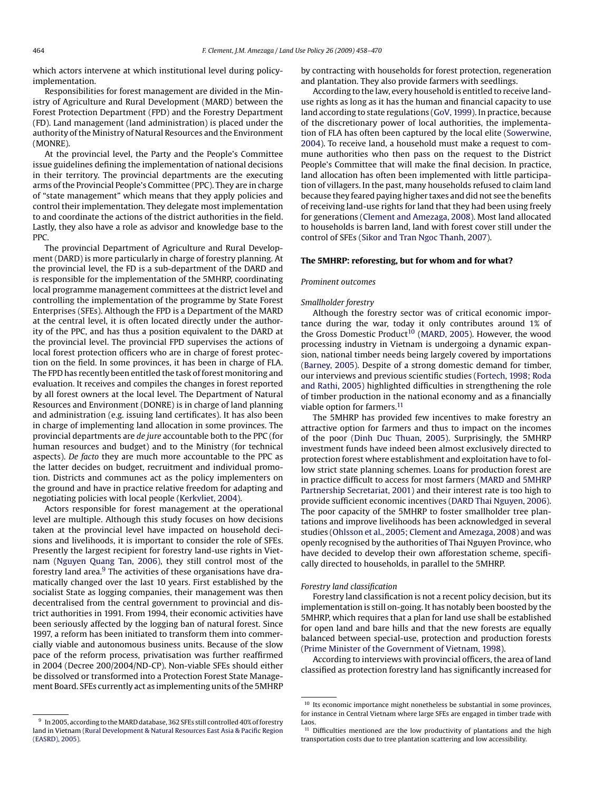which actors intervene at which institutional level during policyimplementation.

Responsibilities for forest management are divided in the Ministry of Agriculture and Rural Development (MARD) between the Forest Protection Department (FPD) and the Forestry Department (FD). Land management (land administration) is placed under the authority of the Ministry of Natural Resources and the Environment (MONRE).

At the provincial level, the Party and the People's Committee issue guidelines defining the implementation of national decisions in their territory. The provincial departments are the executing arms of the Provincial People's Committee (PPC). They are in charge of "state management" which means that they apply policies and control their implementation. They delegate most implementation to and coordinate the actions of the district authorities in the field. Lastly, they also have a role as advisor and knowledge base to the PPC.

The provincial Department of Agriculture and Rural Development (DARD) is more particularly in charge of forestry planning. At the provincial level, the FD is a sub-department of the DARD and is responsible for the implementation of the 5MHRP, coordinating local programme management committees at the district level and controlling the implementation of the programme by State Forest Enterprises (SFEs). Although the FPD is a Department of the MARD at the central level, it is often located directly under the authority of the PPC, and has thus a position equivalent to the DARD at the provincial level. The provincial FPD supervises the actions of local forest protection officers who are in charge of forest protection on the field. In some provinces, it has been in charge of FLA. The FPD has recently been entitled the task of forest monitoring and evaluation. It receives and compiles the changes in forest reported by all forest owners at the local level. The Department of Natural Resources and Environment (DONRE) is in charge of land planning and administration (e.g. issuing land certificates). It has also been in charge of implementing land allocation in some provinces. The provincial departments are *de jure* accountable both to the PPC (for human resources and budget) and to the Ministry (for technical aspects). *De facto* they are much more accountable to the PPC as the latter decides on budget, recruitment and individual promotion. Districts and communes act as the policy implementers on the ground and have in practice relative freedom for adapting and negotiating policies with local people [\(Kerkvliet, 2004\).](#page-11-0)

Actors responsible for forest management at the operational level are multiple. Although this study focuses on how decisions taken at the provincial level have impacted on household decisions and livelihoods, it is important to consider the role of SFEs. Presently the largest recipient for forestry land-use rights in Vietnam ([Nguyen Quang Tan, 2006\),](#page-11-0) they still control most of the forestry land area. $9$  The activities of these organisations have dramatically changed over the last 10 years. First established by the socialist State as logging companies, their management was then decentralised from the central government to provincial and district authorities in 1991. From 1994, their economic activities have been seriously affected by the logging ban of natural forest. Since 1997, a reform has been initiated to transform them into commercially viable and autonomous business units. Because of the slow pace of the reform process, privatisation was further reaffirmed in 2004 (Decree 200/2004/ND-CP). Non-viable SFEs should either be dissolved or transformed into a Protection Forest State Management Board. SFEs currently act as implementing units of the 5MHRP by contracting with households for forest protection, regeneration and plantation. They also provide farmers with seedlings.

According to the law, every household is entitled to receive landuse rights as long as it has the human and financial capacity to use land according to state regulations [\(GoV, 1999\).](#page-11-0) In practice, because of the discretionary power of local authorities, the implementation of FLA has often been captured by the local elite [\(Sowerwine,](#page-12-0) [2004\).](#page-12-0) To receive land, a household must make a request to commune authorities who then pass on the request to the District People's Committee that will make the final decision. In practice, land allocation has often been implemented with little participation of villagers. In the past, many households refused to claim land because they feared paying higher taxes and did not see the benefits of receiving land-use rights for land that they had been using freely for generations [\(Clement and Amezaga, 2008\).](#page-11-0) Most land allocated to households is barren land, land with forest cover still under the control of SFEs ([Sikor and Tran Ngoc Thanh, 2007\).](#page-12-0)

## **The 5MHRP: reforesting, but for whom and for what?**

#### *Prominent outcomes*

## *Smallholder forestry*

Although the forestry sector was of critical economic importance during the war, today it only contributes around 1% of the Gross Domestic Product<sup>10</sup> [\(MARD, 2005\).](#page-11-0) However, the wood processing industry in Vietnam is undergoing a dynamic expansion, national timber needs being largely covered by importations ([Barney, 2005\).](#page-11-0) Despite of a strong domestic demand for timber, our interviews and previous scientific studies [\(Fortech, 1998; Roda](#page-11-0) [and Rathi, 2005\)](#page-11-0) highlighted difficulties in strengthening the role of timber production in the national economy and as a financially viable option for farmers.11

The 5MHRP has provided few incentives to make forestry an attractive option for farmers and thus to impact on the incomes of the poor [\(Dinh Duc Thuan, 2005\).](#page-11-0) Surprisingly, the 5MHRP investment funds have indeed been almost exclusively directed to protection forest where establishment and exploitation have to follow strict state planning schemes. Loans for production forest are in practice difficult to access for most farmers ([MARD and 5MHRP](#page-11-0) [Partnership Secretariat, 2001\) a](#page-11-0)nd their interest rate is too high to provide sufficient economic incentives ([DARD Thai Nguyen, 2006\).](#page-11-0) The poor capacity of the 5MHRP to foster smallholder tree plantations and improve livelihoods has been acknowledged in several studies ([Ohlsson et al., 2005; Clement and Amezaga, 2008\) a](#page-11-0)nd was openly recognised by the authorities of Thai Nguyen Province, who have decided to develop their own afforestation scheme, specifically directed to households, in parallel to the 5MHRP.

#### *Forestry land classification*

Forestry land classification is not a recent policy decision, but its implementation is still on-going. It has notably been boosted by the 5MHRP, which requires that a plan for land use shall be established for open land and bare hills and that the new forests are equally balanced between special-use, protection and production forests ([Prime Minister of the Government of Vietnam, 1998\).](#page-12-0)

According to interviews with provincial officers, the area of land classified as protection forestry land has significantly increased for

<sup>9</sup> In 2005, according to theMARD database, 362 SFEs still controlled 40% of forestry land in Vietnam [\(Rural Development & Natural Resources East Asia & Pacific Region](#page-12-0) [\(EASRD\), 2005\).](#page-12-0)

<sup>&</sup>lt;sup>10</sup> Its economic importance might nonetheless be substantial in some provinces, for instance in Central Vietnam where large SFEs are engaged in timber trade with Laos.

 $11$  Difficulties mentioned are the low productivity of plantations and the high transportation costs due to tree plantation scattering and low accessibility.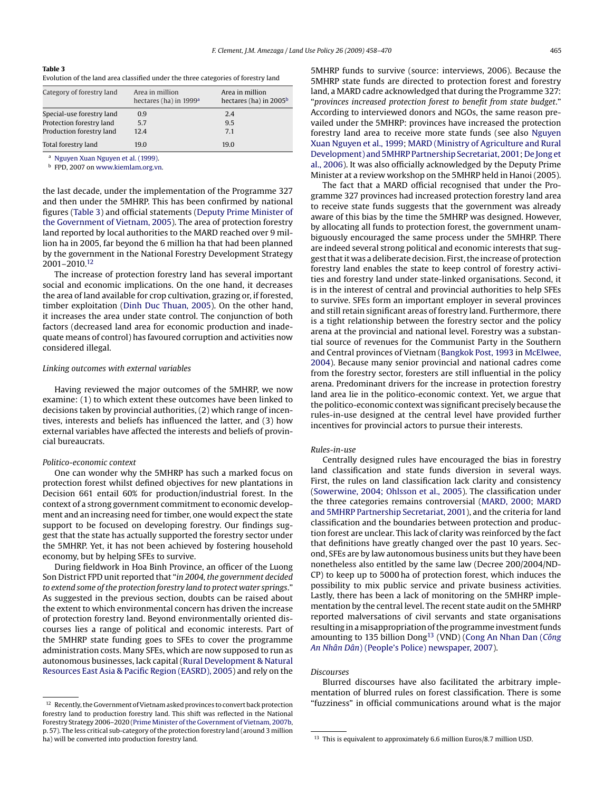## **Table 3**

| Evolution of the land area classified under the three categories of forestry land |  |  |
|-----------------------------------------------------------------------------------|--|--|
|                                                                                   |  |  |

| Category of forestry land | Area in million<br>hectares (ha) in 1999 <sup>a</sup> | Area in million<br>hectares (ha) in 2005 <sup>b</sup> |
|---------------------------|-------------------------------------------------------|-------------------------------------------------------|
| Special-use forestry land | 0.9                                                   | 2.4                                                   |
| Protection forestry land  | 5.7                                                   | 9.5                                                   |
| Production forestry land  | 12.4                                                  | 7.1                                                   |
| Total forestry land       | 19.0                                                  | 19.0                                                  |

<sup>a</sup> [Nguyen Xuan Nguyen et al. \(1999\).](#page-11-0)

<sup>b</sup> FPD, 2007 on [www.kiemlam.org.vn](http://www.kiemlam.org.vn/).

the last decade, under the implementation of the Programme 327 and then under the 5MHRP. This has been confirmed by national figures (Table 3) and official statements ([Deputy Prime Minister of](#page-11-0) [the Government of Vietnam, 2005\).](#page-11-0) The area of protection forestry land reported by local authorities to the MARD reached over 9 million ha in 2005, far beyond the 6 million ha that had been planned by the government in the National Forestry Development Strategy 2001–2010.12

The increase of protection forestry land has several important social and economic implications. On the one hand, it decreases the area of land available for crop cultivation, grazing or, if forested, timber exploitation ([Dinh Duc Thuan, 2005\).](#page-11-0) On the other hand, it increases the area under state control. The conjunction of both factors (decreased land area for economic production and inadequate means of control) has favoured corruption and activities now considered illegal.

### *Linking outcomes with external variables*

Having reviewed the major outcomes of the 5MHRP, we now examine: (1) to which extent these outcomes have been linked to decisions taken by provincial authorities, (2) which range of incentives, interests and beliefs has influenced the latter, and (3) how external variables have affected the interests and beliefs of provincial bureaucrats.

## *Politico-economic context*

One can wonder why the 5MHRP has such a marked focus on protection forest whilst defined objectives for new plantations in Decision 661 entail 60% for production/industrial forest. In the context of a strong government commitment to economic development and an increasing need for timber, one would expect the state support to be focused on developing forestry. Our findings suggest that the state has actually supported the forestry sector under the 5MHRP. Yet, it has not been achieved by fostering household economy, but by helping SFEs to survive.

During fieldwork in Hoa Binh Province, an officer of the Luong Son District FPD unit reported that "*in 2004, the government decided to extend some of the protection forestry land to protect water springs*." As suggested in the previous section, doubts can be raised about the extent to which environmental concern has driven the increase of protection forestry land. Beyond environmentally oriented discourses lies a range of political and economic interests. Part of the 5MHRP state funding goes to SFEs to cover the programme administration costs. Many SFEs, which are now supposed to run as autonomous businesses, lack capital [\(Rural Development & Natural](#page-12-0) [Resources East Asia & Pacific Region \(EASRD\), 2005\) a](#page-12-0)nd rely on the

5MHRP funds to survive (source: interviews, 2006). Because the 5MHRP state funds are directed to protection forest and forestry land, a MARD cadre acknowledged that during the Programme 327: "*provinces increased protection forest to benefit from state budget*." According to interviewed donors and NGOs, the same reason prevailed under the 5MHRP: provinces have increased the protection forestry land area to receive more state funds (see also [Nguyen](#page-11-0) [Xuan Nguyen et al., 1999;](#page-11-0) [MARD \(Ministry of Agriculture and Rural](#page-11-0) [Development\) and 5MHRP Partnership Secretariat, 2001;](#page-11-0) [De Jong et](#page-11-0) [al., 2006\).](#page-11-0) It was also officially acknowledged by the Deputy Prime Minister at a review workshop on the 5MHRP held in Hanoi (2005).

The fact that a MARD official recognised that under the Programme 327 provinces had increased protection forestry land area to receive state funds suggests that the government was already aware of this bias by the time the 5MHRP was designed. However, by allocating all funds to protection forest, the government unambiguously encouraged the same process under the 5MHRP. There are indeed several strong political and economic interests that suggest that it was a deliberate decision. First, the increase of protection forestry land enables the state to keep control of forestry activities and forestry land under state-linked organisations. Second, it is in the interest of central and provincial authorities to help SFEs to survive. SFEs form an important employer in several provinces and still retain significant areas of forestry land. Furthermore, there is a tight relationship between the forestry sector and the policy arena at the provincial and national level. Forestry was a substantial source of revenues for the Communist Party in the Southern and Central provinces of Vietnam [\(Bangkok Post, 1993](#page-11-0) in [McElwee,](#page-11-0) [2004\).](#page-11-0) Because many senior provincial and national cadres come from the forestry sector, foresters are still influential in the policy arena. Predominant drivers for the increase in protection forestry land area lie in the politico-economic context. Yet, we argue that the politico-economic context was significant precisely because the rules-in-use designed at the central level have provided further incentives for provincial actors to pursue their interests.

## *Rules-in-use*

Centrally designed rules have encouraged the bias in forestry land classification and state funds diversion in several ways. First, the rules on land classification lack clarity and consistency ([Sowerwine, 2004; Ohlsson et al., 2005\).](#page-12-0) The classification under the three categories remains controversial [\(MARD, 2000;](#page-11-0) [MARD](#page-11-0) [and 5MHRP Partnership Secretariat, 2001\),](#page-11-0) and the criteria for land classification and the boundaries between protection and production forest are unclear. This lack of clarity was reinforced by the fact that definitions have greatly changed over the past 10 years. Second, SFEs are by law autonomous business units but they have been nonetheless also entitled by the same law (Decree 200/2004/ND-CP) to keep up to 5000 ha of protection forest, which induces the possibility to mix public service and private business activities. Lastly, there has been a lack of monitoring on the 5MHRP implementation by the central level. The recent state audit on the 5MHRP reported malversations of civil servants and state organisations resulting in amisappropriation of the programme investment funds amounting to 135 billion Dong13 (VND) [\(Cong An Nhan Dan \(](#page-11-0)*[Công](#page-11-0) [An Nhân Dân](#page-11-0)*) [\(People's Police\) newspaper, 2007\).](#page-11-0)

## *Discourses*

Blurred discourses have also facilitated the arbitrary implementation of blurred rules on forest classification. There is some "fuzziness" in official communications around what is the major

<sup>&</sup>lt;sup>12</sup> Recently, the Government of Vietnam asked provinces to convert back protection forestry land to production forestry land. This shift was reflected in the National Forestry Strategy 2006–2020 [\(Prime Minister of the Government of Vietnam, 2007b,](#page-12-0) p. 57). The less critical sub-category of the protection forestry land (around 3 million ha) will be converted into production forestry land.

<sup>&</sup>lt;sup>13</sup> This is equivalent to approximately 6.6 million Euros/8.7 million USD.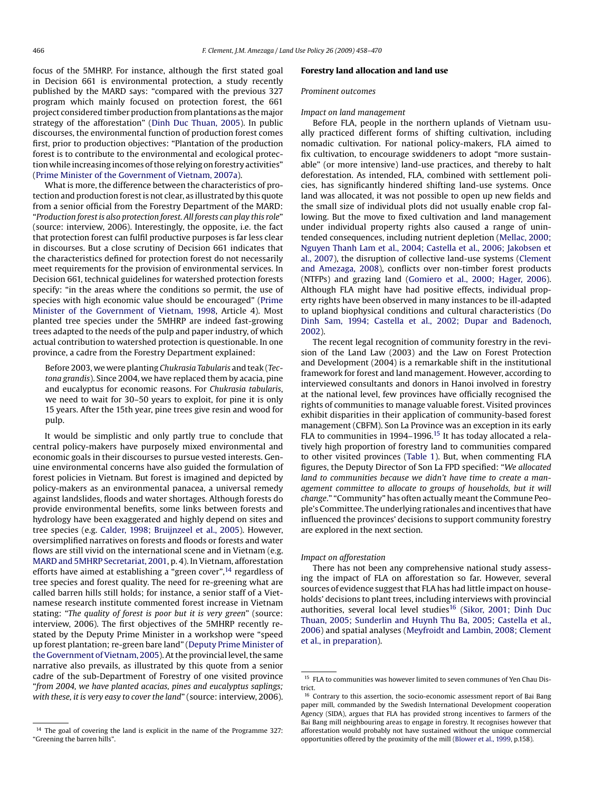focus of the 5MHRP. For instance, although the first stated goal in Decision 661 is environmental protection, a study recently published by the MARD says: "compared with the previous 327 program which mainly focused on protection forest, the 661 project considered timber production from plantations as themajor strategy of the afforestation" [\(Dinh Duc Thuan, 2005\).](#page-11-0) In public discourses, the environmental function of production forest comes first, prior to production objectives: "Plantation of the production forest is to contribute to the environmental and ecological protection while increasing incomes of those relying on forestry activities" ([Prime Minister of the Government of Vietnam, 2007a\).](#page-12-0)

What is more, the difference between the characteristics of protection and production forest is not clear, as illustrated by this quote from a senior official from the Forestry Department of the MARD: "*Production forest is also protection forest. All forests can play this role*" (source: interview, 2006). Interestingly, the opposite, i.e. the fact that protection forest can fulfil productive purposes is far less clear in discourses. But a close scrutiny of Decision 661 indicates that the characteristics defined for protection forest do not necessarily meet requirements for the provision of environmental services. In Decision 661, technical guidelines for watershed protection forests specify: "in the areas where the conditions so permit, the use of species with high economic value should be encouraged" [\(Prime](#page-12-0) [Minister of the Government of Vietnam, 1998,](#page-12-0) Article 4). Most planted tree species under the 5MHRP are indeed fast-growing trees adapted to the needs of the pulp and paper industry, of which actual contribution to watershed protection is questionable. In one province, a cadre from the Forestry Department explained:

Before 2003, we were planting *Chukrasia Tabularis* and teak (*Tectona grandis*). Since 2004, we have replaced them by acacia, pine and eucalyptus for economic reasons. For *Chukrasia tabularis*, we need to wait for 30–50 years to exploit, for pine it is only 15 years. After the 15th year, pine trees give resin and wood for pulp.

It would be simplistic and only partly true to conclude that central policy-makers have purposely mixed environmental and economic goals in their discourses to pursue vested interests. Genuine environmental concerns have also guided the formulation of forest policies in Vietnam. But forest is imagined and depicted by policy-makers as an environmental panacea, a universal remedy against landslides, floods and water shortages. Although forests do provide environmental benefits, some links between forests and hydrology have been exaggerated and highly depend on sites and tree species (e.g. [Calder, 1998; Bruijnzeel et al., 2005\).](#page-11-0) However, oversimplified narratives on forests and floods or forests and water flows are still vivid on the international scene and in Vietnam (e.g. [MARD and 5MHRP Secretariat, 2001, p](#page-11-0). 4). In Vietnam, afforestation efforts have aimed at establishing a "green cover",<sup>14</sup> regardless of tree species and forest quality. The need for re-greening what are called barren hills still holds; for instance, a senior staff of a Vietnamese research institute commented forest increase in Vietnam stating: "*The quality of forest is poor but it is very green*" (source: interview, 2006). The first objectives of the 5MHRP recently restated by the Deputy Prime Minister in a workshop were "speed up forest plantation; re-green bare land" [\(Deputy Prime Minister of](#page-11-0) [the Government of Vietnam, 2005\).](#page-11-0) At the provincial level, the same narrative also prevails, as illustrated by this quote from a senior cadre of the sub-Department of Forestry of one visited province "*from 2004, we have planted acacias, pines and eucalyptus saplings; with these, it is very easy to cover the land*" (source: interview, 2006).

#### **Forestry land allocation and land use**

#### *Prominent outcomes*

### *Impact on land management*

Before FLA, people in the northern uplands of Vietnam usually practiced different forms of shifting cultivation, including nomadic cultivation. For national policy-makers, FLA aimed to fix cultivation, to encourage swiddeners to adopt "more sustainable" (or more intensive) land-use practices, and thereby to halt deforestation. As intended, FLA, combined with settlement policies, has significantly hindered shifting land-use systems. Once land was allocated, it was not possible to open up new fields and the small size of individual plots did not usually enable crop fallowing. But the move to fixed cultivation and land management under individual property rights also caused a range of unintended consequences, including nutrient depletion ([Mellac, 2000;](#page-11-0) [Nguyen Thanh Lam et al., 2004; Castella et al., 2006; Jakobsen et](#page-11-0) [al., 2007\),](#page-11-0) the disruption of collective land-use systems ([Clement](#page-11-0) [and Amezaga, 2008\),](#page-11-0) conflicts over non-timber forest products (NTFPs) and grazing land [\(Gomiero et al., 2000; Hager, 2006\).](#page-11-0) Although FLA might have had positive effects, individual property rights have been observed in many instances to be ill-adapted to upland biophysical conditions and cultural characteristics [\(Do](#page-11-0) [Dinh Sam, 1994; Castella et al., 2002; Dupar and Badenoch,](#page-11-0) [2002\).](#page-11-0)

The recent legal recognition of community forestry in the revision of the Land Law (2003) and the Law on Forest Protection and Development (2004) is a remarkable shift in the institutional framework for forest and land management. However, according to interviewed consultants and donors in Hanoi involved in forestry at the national level, few provinces have officially recognised the rights of communities to manage valuable forest. Visited provinces exhibit disparities in their application of community-based forest management (CBFM). Son La Province was an exception in its early FLA to communities in 1994–1996.<sup>15</sup> It has today allocated a relatively high proportion of forestry land to communities compared to other visited provinces [\(Table 1\).](#page-3-0) But, when commenting FLA figures, the Deputy Director of Son La FPD specified: "*We allocated land to communities because we didn't have time to create a management committee to allocate to groups of households, but it will change*." "Community" has often actually meant the Commune People's Committee. The underlying rationales and incentives that have influenced the provinces' decisions to support community forestry are explored in the next section.

#### *Impact on afforestation*

There has not been any comprehensive national study assessing the impact of FLA on afforestation so far. However, several sources of evidence suggest that FLA has had little impact on households' decisions to plant trees, including interviews with provincial authorities, several local level studies<sup>16</sup> ([Sikor, 2001; Dinh Duc](#page-12-0) [Thuan, 2005; Sunderlin and Huynh Thu Ba, 2005; Castella et al.,](#page-12-0) [2006\)](#page-12-0) and spatial analyses ([Meyfroidt and Lambin, 2008; Clement](#page-11-0) [et al., in preparation\).](#page-11-0)

<sup>&</sup>lt;sup>14</sup> The goal of covering the land is explicit in the name of the Programme 327: "Greening the barren hills".

<sup>&</sup>lt;sup>15</sup> FLA to communities was however limited to seven communes of Yen Chau District.

<sup>&</sup>lt;sup>16</sup> Contrary to this assertion, the socio-economic assessment report of Bai Bang paper mill, commanded by the Swedish International Development cooperation Agency (SIDA), argues that FLA has provided strong incentives to farmers of the Bai Bang mill neighbouring areas to engage in forestry. It recognises however that afforestation would probably not have sustained without the unique commercial opportunities offered by the proximity of the mill [\(Blower et al., 1999, p](#page-11-0).158).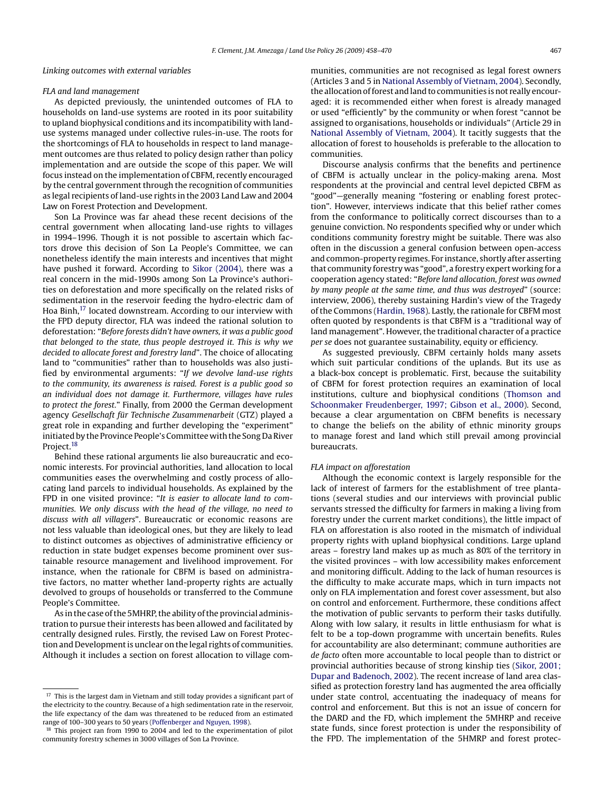*Linking outcomes with external variables*

#### *FLA and land management*

As depicted previously, the unintended outcomes of FLA to households on land-use systems are rooted in its poor suitability to upland biophysical conditions and its incompatibility with landuse systems managed under collective rules-in-use. The roots for the shortcomings of FLA to households in respect to land management outcomes are thus related to policy design rather than policy implementation and are outside the scope of this paper. We will focus instead on the implementation of CBFM, recently encouraged by the central government through the recognition of communities as legal recipients of land-use rights in the 2003 Land Law and 2004 Law on Forest Protection and Development.

Son La Province was far ahead these recent decisions of the central government when allocating land-use rights to villages in 1994–1996. Though it is not possible to ascertain which factors drove this decision of Son La People's Committee, we can nonetheless identify the main interests and incentives that might have pushed it forward. According to [Sikor \(2004\),](#page-12-0) there was a real concern in the mid-1990s among Son La Province's authorities on deforestation and more specifically on the related risks of sedimentation in the reservoir feeding the hydro-electric dam of Hoa Binh,<sup>17</sup> located downstream. According to our interview with the FPD deputy director, FLA was indeed the rational solution to deforestation: "*Before forests didn't have owners, it was a public good that belonged to the state, thus people destroyed it. This is why we decided to allocate forest and forestry land*". The choice of allocating land to "communities" rather than to households was also justified by environmental arguments: "*If we devolve land-use rights to the community, its awareness is raised. Forest is a public good so an individual does not damage it. Furthermore, villages have rules to protect the forest.*" Finally, from 2000 the German development agency *Gesellschaft für Technische Zusammenarbeit* (GTZ) played a great role in expanding and further developing the "experiment" initiated by the Province People's Committee with the Song Da River Project.<sup>18</sup>

Behind these rational arguments lie also bureaucratic and economic interests. For provincial authorities, land allocation to local communities eases the overwhelming and costly process of allocating land parcels to individual households. As explained by the FPD in one visited province: "*It is easier to allocate land to communities. We only discuss with the head of the village, no need to discuss with all villagers*". Bureaucratic or economic reasons are not less valuable than ideological ones, but they are likely to lead to distinct outcomes as objectives of administrative efficiency or reduction in state budget expenses become prominent over sustainable resource management and livelihood improvement. For instance, when the rationale for CBFM is based on administrative factors, no matter whether land-property rights are actually devolved to groups of households or transferred to the Commune People's Committee.

As in the case of the 5MHRP, the ability of the provincial administration to pursue their interests has been allowed and facilitated by centrally designed rules. Firstly, the revised Law on Forest Protection and Development is unclear on the legal rights of communities. Although it includes a section on forest allocation to village communities, communities are not recognised as legal forest owners (Articles 3 and 5 in [National Assembly of Vietnam, 2004\).](#page-11-0) Secondly, the allocation of forest and land to communities is not really encouraged: it is recommended either when forest is already managed or used "efficiently" by the community or when forest "cannot be assigned to organisations, households or individuals" (Article 29 in [National Assembly of Vietnam, 2004\).](#page-11-0) It tacitly suggests that the allocation of forest to households is preferable to the allocation to communities.

Discourse analysis confirms that the benefits and pertinence of CBFM is actually unclear in the policy-making arena. Most respondents at the provincial and central level depicted CBFM as "good"—generally meaning "fostering or enabling forest protection". However, interviews indicate that this belief rather comes from the conformance to politically correct discourses than to a genuine conviction. No respondents specified why or under which conditions community forestry might be suitable. There was also often in the discussion a general confusion between open-access and common-property regimes. For instance, shortly after asserting that community forestry was "good", a forestry expert working for a cooperation agency stated: "*Before land allocation, forest was owned by many people at the same time, and thus was destroyed*" (source: interview, 2006), thereby sustaining Hardin's view of the Tragedy of the Commons ([Hardin, 1968\).](#page-11-0) Lastly, the rationale for CBFM most often quoted by respondents is that CBFM is a "traditional way of land management". However, the traditional character of a practice *per se* does not guarantee sustainability, equity or efficiency.

As suggested previously, CBFM certainly holds many assets which suit particular conditions of the uplands. But its use as a black-box concept is problematic. First, because the suitability of CBFM for forest protection requires an examination of local institutions, culture and biophysical conditions [\(Thomson and](#page-12-0) [Schoonmaker Freudenberger, 1997; Gibson et al., 2000\).](#page-12-0) Second, because a clear argumentation on CBFM benefits is necessary to change the beliefs on the ability of ethnic minority groups to manage forest and land which still prevail among provincial bureaucrats.

## *FLA impact on afforestation*

Although the economic context is largely responsible for the lack of interest of farmers for the establishment of tree plantations (several studies and our interviews with provincial public servants stressed the difficulty for farmers in making a living from forestry under the current market conditions), the little impact of FLA on afforestation is also rooted in the mismatch of individual property rights with upland biophysical conditions. Large upland areas – forestry land makes up as much as 80% of the territory in the visited provinces – with low accessibility makes enforcement and monitoring difficult. Adding to the lack of human resources is the difficulty to make accurate maps, which in turn impacts not only on FLA implementation and forest cover assessment, but also on control and enforcement. Furthermore, these conditions affect the motivation of public servants to perform their tasks dutifully. Along with low salary, it results in little enthusiasm for what is felt to be a top-down programme with uncertain benefits. Rules for accountability are also determinant; commune authorities are *de facto* often more accountable to local people than to district or provincial authorities because of strong kinship ties [\(Sikor, 2001;](#page-12-0) [Dupar and Badenoch, 2002\).](#page-12-0) The recent increase of land area classified as protection forestry land has augmented the area officially under state control, accentuating the inadequacy of means for control and enforcement. But this is not an issue of concern for the DARD and the FD, which implement the 5MHRP and receive state funds, since forest protection is under the responsibility of the FPD. The implementation of the 5HMRP and forest protec-

 $^{17}$  This is the largest dam in Vietnam and still today provides a significant part of the electricity to the country. Because of a high sedimentation rate in the reservoir, the life expectancy of the dam was threatened to be reduced from an estimated range of 100–300 years to 50 years ([Poffenberger and Nguyen, 1998\).](#page-12-0)

<sup>&</sup>lt;sup>18</sup> This project ran from 1990 to 2004 and led to the experimentation of pilot community forestry schemes in 3000 villages of Son La Province.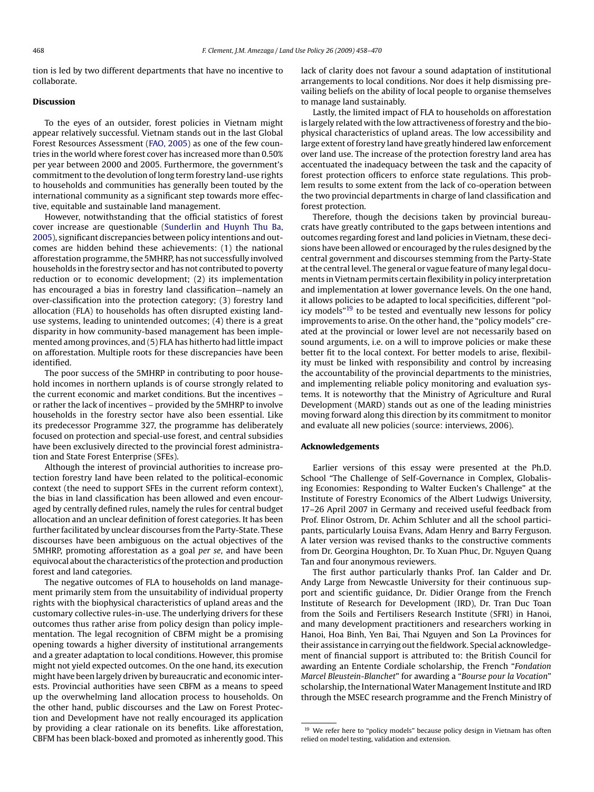tion is led by two different departments that have no incentive to collaborate.

## **Discussion**

To the eyes of an outsider, forest policies in Vietnam might appear relatively successful. Vietnam stands out in the last Global Forest Resources Assessment [\(FAO, 2005\)](#page-11-0) as one of the few countries in the world where forest cover has increased more than 0.50% per year between 2000 and 2005. Furthermore, the government's commitment to the devolution of long term forestry land-use rights to households and communities has generally been touted by the international community as a significant step towards more effective, equitable and sustainable land management.

However, notwithstanding that the official statistics of forest cover increase are questionable [\(Sunderlin and Huynh Thu Ba,](#page-12-0) [2005\),](#page-12-0) significant discrepancies between policy intentions and outcomes are hidden behind these achievements: (1) the national afforestation programme, the 5MHRP, has not successfully involved households in the forestry sector and has not contributed to poverty reduction or to economic development; (2) its implementation has encouraged a bias in forestry land classification—namely an over-classification into the protection category; (3) forestry land allocation (FLA) to households has often disrupted existing landuse systems, leading to unintended outcomes; (4) there is a great disparity in how community-based management has been implemented among provinces, and (5) FLA has hitherto had little impact on afforestation. Multiple roots for these discrepancies have been identified.

The poor success of the 5MHRP in contributing to poor household incomes in northern uplands is of course strongly related to the current economic and market conditions. But the incentives – or rather the lack of incentives – provided by the 5MHRP to involve households in the forestry sector have also been essential. Like its predecessor Programme 327, the programme has deliberately focused on protection and special-use forest, and central subsidies have been exclusively directed to the provincial forest administration and State Forest Enterprise (SFEs).

Although the interest of provincial authorities to increase protection forestry land have been related to the political-economic context (the need to support SFEs in the current reform context), the bias in land classification has been allowed and even encouraged by centrally defined rules, namely the rules for central budget allocation and an unclear definition of forest categories. It has been further facilitated by unclear discourses from the Party-State. These discourses have been ambiguous on the actual objectives of the 5MHRP, promoting afforestation as a goal *per se*, and have been equivocal about the characteristics of the protection and production forest and land categories.

The negative outcomes of FLA to households on land management primarily stem from the unsuitability of individual property rights with the biophysical characteristics of upland areas and the customary collective rules-in-use. The underlying drivers for these outcomes thus rather arise from policy design than policy implementation. The legal recognition of CBFM might be a promising opening towards a higher diversity of institutional arrangements and a greater adaptation to local conditions. However, this promise might not yield expected outcomes. On the one hand, its execution might have been largely driven by bureaucratic and economic interests. Provincial authorities have seen CBFM as a means to speed up the overwhelming land allocation process to households. On the other hand, public discourses and the Law on Forest Protection and Development have not really encouraged its application by providing a clear rationale on its benefits. Like afforestation, CBFM has been black-boxed and promoted as inherently good. This lack of clarity does not favour a sound adaptation of institutional arrangements to local conditions. Nor does it help dismissing prevailing beliefs on the ability of local people to organise themselves to manage land sustainably.

Lastly, the limited impact of FLA to households on afforestation is largely related with the low attractiveness of forestry and the biophysical characteristics of upland areas. The low accessibility and large extent of forestry land have greatly hindered law enforcement over land use. The increase of the protection forestry land area has accentuated the inadequacy between the task and the capacity of forest protection officers to enforce state regulations. This problem results to some extent from the lack of co-operation between the two provincial departments in charge of land classification and forest protection.

Therefore, though the decisions taken by provincial bureaucrats have greatly contributed to the gaps between intentions and outcomes regarding forest and land policies in Vietnam, these decisions have been allowed or encouraged by the rules designed by the central government and discourses stemming from the Party-State at the central level. The general or vague feature of many legal documents in Vietnam permits certain flexibility in policy interpretation and implementation at lower governance levels. On the one hand, it allows policies to be adapted to local specificities, different "policy models"19 to be tested and eventually new lessons for policy improvements to arise. On the other hand, the "policy models" created at the provincial or lower level are not necessarily based on sound arguments, i.e. on a will to improve policies or make these better fit to the local context. For better models to arise, flexibility must be linked with responsibility and control by increasing the accountability of the provincial departments to the ministries, and implementing reliable policy monitoring and evaluation systems. It is noteworthy that the Ministry of Agriculture and Rural Development (MARD) stands out as one of the leading ministries moving forward along this direction by its commitment to monitor and evaluate all new policies (source: interviews, 2006).

# **Acknowledgements**

Earlier versions of this essay were presented at the Ph.D. School "The Challenge of Self-Governance in Complex, Globalising Economies: Responding to Walter Eucken's Challenge" at the Institute of Forestry Economics of the Albert Ludwigs University, 17–26 April 2007 in Germany and received useful feedback from Prof. Elinor Ostrom, Dr. Achim Schluter and all the school participants, particularly Louisa Evans, Adam Henry and Barry Ferguson. A later version was revised thanks to the constructive comments from Dr. Georgina Houghton, Dr. To Xuan Phuc, Dr. Nguyen Quang Tan and four anonymous reviewers.

The first author particularly thanks Prof. Ian Calder and Dr. Andy Large from Newcastle University for their continuous support and scientific guidance, Dr. Didier Orange from the French Institute of Research for Development (IRD), Dr. Tran Duc Toan from the Soils and Fertilisers Research Institute (SFRI) in Hanoi, and many development practitioners and researchers working in Hanoi, Hoa Binh, Yen Bai, Thai Nguyen and Son La Provinces for their assistance in carrying out the fieldwork. Special acknowledgement of financial support is attributed to: the British Council for awarding an Entente Cordiale scholarship, the French "*Fondation Marcel Bleustein-Blanchet*" for awarding a "*Bourse pour la Vocation*" scholarship, the International Water Management Institute and IRD through the MSEC research programme and the French Ministry of

<sup>&</sup>lt;sup>19</sup> We refer here to "policy models" because policy design in Vietnam has often relied on model testing, validation and extension.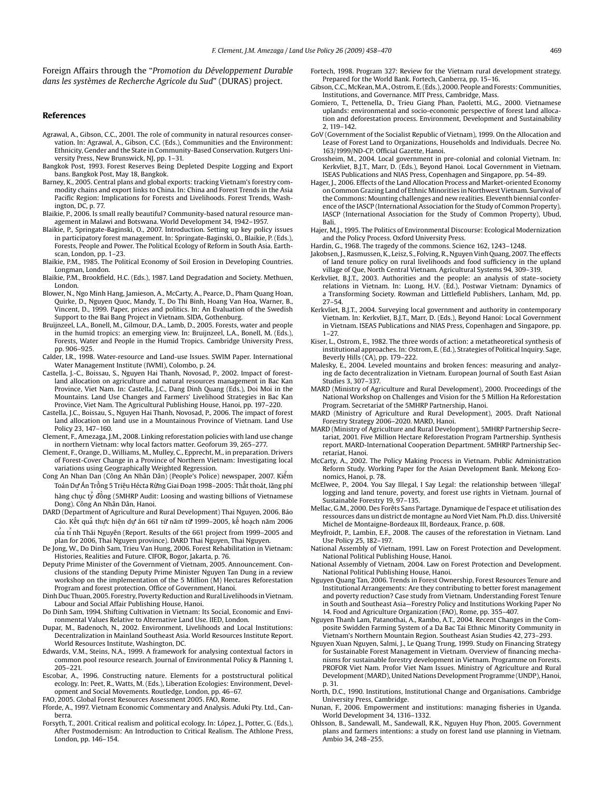<span id="page-11-0"></span>Foreign Affairs through the "*Promotion du Développement Durable dans les systèmes de Recherche Agricole du Sud*" (DURAS) project.

#### **References**

- Agrawal, A., Gibson, C.C., 2001. The role of community in natural resources conservation. In: Agrawal, A., Gibson, C.C. (Eds.), Communities and the Environment: Ethnicity, Gender and the State in Community-Based Conservation. Rutgers University Press, New Brunswick, NJ, pp. 1–31.
- Bangkok Post, 1993. Forest Reserves Being Depleted Despite Logging and Export bans. Bangkok Post, May 18, Bangkok.
- Barney, K., 2005. Central plans and global exports: tracking Vietnam's forestry commodity chains and export links to China. In: China and Forest Trends in the Asia Pacific Region: Implications for Forests and Livelihoods. Forest Trends, Washington, DC, p. 77.
- Blaikie, P., 2006. Is small really beautiful? Community-based natural resource management in Malawi and Botswana. World Development 34, 1942–1957.
- Blaikie, P., Springate-Baginski, O., 2007. Introduction. Setting up key policy issues in participatory forest management. In: Springate-Baginski, O., Blaikie, P. (Eds.), Forests, People and Power. The Political Ecology of Reform in South Asia. Earth-
- scan, London, pp. 1–23. Blaikie, P.M., 1985. The Political Economy of Soil Erosion in Developing Countries. Longman, London.
- Blaikie, P.M., Brookfield, H.C. (Eds.), 1987. Land Degradation and Society. Methuen, London.
- Blower, N., Ngo Minh Hang, Jamieson, A., McCarty, A., Pearce, D., Pham Quang Hoan, Quirke, D., Nguyen Quoc, Mandy, T., Do Thi Binh, Hoang Van Hoa, Warner, B., Vincent, D., 1999. Paper, prices and politics. In: An Evaluation of the Swedish Support to the Bai Bang Project in Vietnam. SIDA, Gothenburg.
- Bruijnzeel, L.A., Bonell, M., Gilmour, D.A., Lamb, D., 2005. Forests, water and people in the humid tropics: an emerging view. In: Bruijnzeel, L.A., Bonell, M. (Eds.), Forests, Water and People in the Humid Tropics. Cambridge University Press, pp. 906–925.
- Calder, I.R., 1998. Water-resource and Land-use Issues. SWIM Paper. International Water Management Institute (IWMI), Colombo, p. 24.
- Castella, J.-C., Boissau, S., Nguyen Hai Thanh, Novosad, P., 2002. Impact of forestland allocation on agriculture and natural resources management in Bac Kan Province, Viet Nam. In: Castella, J.C., Dang Dinh Quang (Eds.), Doi Moi in the Mountains. Land Use Changes and Farmers' Livelihood Strategies in Bac Kan Province, Viet Nam. The Agricultural Publishing House, Hanoi, pp. 197–220.
- Castella, J.C., Boissau, S., Nguyen Hai Thanh, Novosad, P., 2006. The impact of forest land allocation on land use in a Mountainous Province of Vietnam. Land Use Policy 23, 147–160.
- Clement, F., Amezaga, J.M., 2008. Linking reforestation policies with land use change in northern Vietnam: why local factors matter. Geoforum 39, 265–277.
- Clement, F., Orange, D., Williams, M., Mulley, C., Epprecht, M., in preparation. Drivers of Forest-Cover Change in a Province of Northern Vietnam: Investigating local variations using Geographically Weighted Regression.
- Cong An Nhan Dan (Công An Nhân Dân) (People's Police) newspaper, 2007. Kiếm Toán Dự Ấn Trồng 5 Triệu Hécta Rừng Giai Đoạn 1998–2005: Thất thoát, lãng phí hàng chục tỷ đồng (5MHRP Audit: Loosing and wasting billions of Vietnamese Dong). Công An Nhân Dân, Hanoi.
- DARD (Department of Agriculture and Rural Development) Thai Nguyen, 2006. Báo Cáo. Kết quả thực hiện dự án 661 từ năm từ 1999–2005, kế hoạch năm 2006 cua tỉ nh Thái Nguyên (Report. Results of the 661 project from 1999–2005 and plan for 2006, Thai Nguyen province). DARD Thai Nguyen, Thai Nguyen.
- De Jong, W., Do Dinh Sam, Trieu Van Hung, 2006. Forest Rehabilitation in Vietnam: Histories, Realities and Future. CIFOR, Bogor, Jakarta, p. 76.
- Deputy Prime Minister of the Government of Vietnam, 2005. Announcement. Conclusions of the standing Deputy Prime Minister Nguyen Tan Dung in a review workshop on the implementation of the 5 Million (M) Hectares Reforestation Program and forest protection. Office of Government, Hanoi.
- Dinh Duc Thuan, 2005. Forestry, Poverty Reduction and Rural Livelihoods in Vietnam. Labour and Social Affair Publishing House, Hanoi.
- Do Dinh Sam, 1994. Shifting Cultivation in Vietnam: Its Social, Economic and Environmental Values Relative to Alternative Land Use. IIED, London.
- Dupar, M., Badenoch, N., 2002. Environment, Livelihoods and Local Institutions: Decentralization in Mainland Southeast Asia. World Resources Institute Report. World Resources Institute, Washington, DC.
- Edwards, V.M., Steins, N.A., 1999. A framework for analysing contextual factors in common pool resource research. Journal of Environmental Policy & Planning 1, 205–221.
- Escobar, A., 1996. Constructing nature. Elements for a poststructural political ecology. In: Peet, R., Watts, M. (Eds.), Liberation Ecologies: Environment, Development and Social Movements. Routledge, London, pp. 46–67.
- FAO, 2005. Global Forest Resources Assessment 2005. FAO, Rome.
- Fforde, A., 1997. Vietnam Economic Commentary and Analysis. Aduki Pty. Ltd., Canberra.
- Forsyth, T., 2001. Critical realism and political ecology. In: López, J., Potter, G. (Eds.), After Postmodernism: An Introduction to Critical Realism. The Athlone Press, London, pp. 146–154.
- Fortech, 1998. Program 327: Review for the Vietnam rural development strategy. Prepared for the World Bank. Fortech, Canberra, pp. 15–16.
- Gibson, C.C.,McKean,M.A., Ostrom, E. (Eds.), 2000. People and Forests: Communities, Institutions, and Governance. MIT Press, Cambridge, Mass.
- Gomiero, T., Pettenella, D., Trieu Giang Phan, Paoletti, M.G., 2000. Vietnamese uplands: environmental and socio-economic perspective of forest land allocation and deforestation process. Environment, Development and Sustainability 2, 119–142.
- GoV (Government of the Socialist Republic of Vietnam), 1999. On the Allocation and Lease of Forest Land to Organizations, Households and Individuals. Decree No. 163/1999/ND-CP. Official Gazette, Hanoi.
- Grossheim, M., 2004. Local government in pre-colonial and colonial Vietnam. In: Kerkvliet, B.J.T., Marr, D. (Eds.), Beyond Hanoi. Local Government in Vietnam. ISEAS Publications and NIAS Press, Copenhagen and Singapore, pp. 54–89.
- Hager, J., 2006. Effects of the Land Allocation Process and Market-oriented Economy on Common Grazing Land of Ethnic Minorities in Northwest Vietnam. Survival of the Commons: Mounting challenges and new realities. Eleventh biennial conference of the IASCP (International Association for the Study of Common Property). IASCP (International Association for the Study of Common Property), Ubud, Bali.
- Hajer, M.J., 1995. The Politics of Environmental Discourse: Ecological Modernization and the Policy Process. Oxford University Press.
- Hardin, G., 1968. The tragedy of the commons. Science 162, 1243–1248.
- Jakobsen, J., Rasmussen, K., Leisz, S., Folving, R., Nguyen Vinh Quang, 2007. The effects of land tenure policy on rural livelihoods and food sufficiency in the upland village of Que, North Central Vietnam. Agricultural Systems 94, 309–319.
- Kerkvliet, B.J.T., 2003. Authorities and the people: an analysis of state–society relations in Vietnam. In: Luong, H.V. (Ed.), Postwar Vietnam: Dynamics of a Transforming Society. Rowman and Littlefield Publishers, Lanham, Md, pp. 27–54.
- Kerkvliet, B.J.T., 2004. Surveying local government and authority in contemporary Vietnam. In: Kerkvliet, B.J.T., Marr, D. (Eds.), Beyond Hanoi: Local Government in Vietnam. ISEAS Publications and NIAS Press, Copenhagen and Singapore, pp. 1–27.
- Kiser, L., Ostrom, E., 1982. The three words of action: a metatheoretical synthesis of institutional approaches. In: Ostrom, E. (Ed.), Strategies of Political Inquiry. Sage, Beverly Hills (CA), pp. 179–222.
- Malesky, E., 2004. Leveled mountains and broken fences: measuring and analyzing de facto decentralization in Vietnam. European Journal of South East Asian Studies 3, 307–337.
- MARD (Ministry of Agriculture and Rural Development), 2000. Proceedings of the National Workshop on Challenges and Vision for the 5 Million Ha Reforestation Program. Secretariat of the 5MHRP Partnership, Hanoi.
- MARD (Ministry of Agriculture and Rural Development), 2005. Draft National Forestry Strategy 2006–2020. MARD, Hanoi.
- MARD (Ministry of Agriculture and Rural Development), 5MHRP Partnership Secretariat, 2001. Five Million Hectare Reforestation Program Partnership. Synthesis report. MARD-International Cooperation Department. 5MHRP Partnership Secretariat, Hanoi.
- McCarty, A., 2002. The Policy Making Process in Vietnam. Public Administration Reform Study. Working Paper for the Asian Development Bank. Mekong Economics, Hanoi, p. 78.
- McElwee, P., 2004. You Say Illegal, I Say Legal: the relationship between 'illegal' logging and land tenure, poverty, and forest use rights in Vietnam. Journal of Sustainable Forestry 19, 97–135.
- Mellac, G.M., 2000. Des Forêts Sans Partage. Dynamique de l'espace et utilisation des ressources dans un district de montagne au Nord Viet Nam. Ph.D. diss. Université Michel de Montaigne-Bordeaux III, Bordeaux, France, p. 608.
- Meyfroidt, P., Lambin, E.F., 2008. The causes of the reforestation in Vietnam. Land Use Policy 25, 182–197.
- National Assembly of Vietnam, 1991. Law on Forest Protection and Development. National Political Publishing House, Hanoi.
- National Assembly of Vietnam, 2004. Law on Forest Protection and Development. National Political Publishing House, Hanoi.
- Nguyen Quang Tan, 2006. Trends in Forest Ownership, Forest Resources Tenure and Institutional Arrangements: Are they contributing to better forest management and poverty reduction? Case study from Vietnam. Understanding Forest Tenure in South and Southeast Asia—Forestry Policy and Institutions Working Paper No 14. Food and Agriculture Organization (FAO), Rome, pp. 355–407.
- Nguyen Thanh Lam, Patanothai, A., Rambo, A.T., 2004. Recent Changes in the Composite Swidden Farming System of a Da Bac Tai Ethnic Minority Community in Vietnam's Northern Mountain Region. Southeast Asian Studies 42, 273–293.
- Nguyen Xuan Nguyen, Salmi, J., Le Quang Trung, 1999. Study on Financing Strategy for Sustainable Forest Management in Vietnam. Overview of financing mechanisms for sustainable forestry development in Vietnam. Programme on Forests. PROFOR Viet Nam. Profor Viet Nam Issues. Ministry of Agriculture and Rural Development (MARD), United Nations Development Programme (UNDP), Hanoi, p. 31.
- North, D.C., 1990. Institutions, Institutional Change and Organisations. Cambridge University Press, Cambridge.
- Nunan, F., 2006. Empowerment and institutions: managing fisheries in Uganda. World Development 34, 1316–1332.
- Ohlsson, B., Sandewall, M., Sandewall, R.K., Nguyen Huy Phon, 2005. Government plans and farmers intentions: a study on forest land use planning in Vietnam. Ambio 34, 248–255.